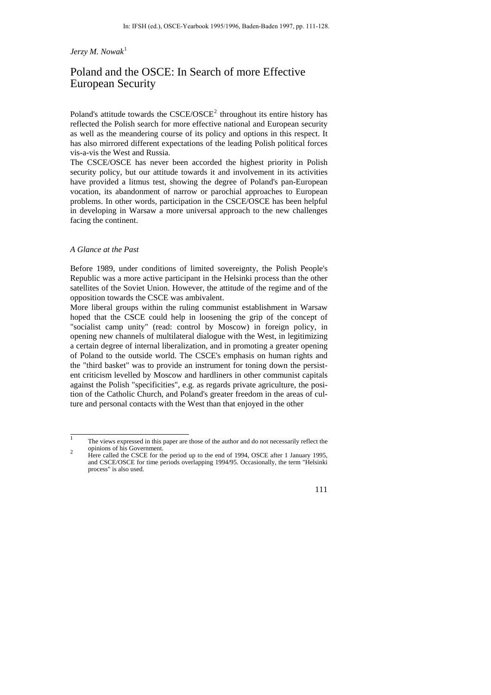# *Jerzy M. Nowak*[1](#page-0-0)

# Poland and the OSCE: In Search of more Effective European Security

Poland's attitude towards the  $CSCE/OSCE<sup>2</sup>$  $CSCE/OSCE<sup>2</sup>$  $CSCE/OSCE<sup>2</sup>$  throughout its entire history has reflected the Polish search for more effective national and European security as well as the meandering course of its policy and options in this respect. It has also mirrored different expectations of the leading Polish political forces vis-a-vis the West and Russia.

The CSCE/OSCE has never been accorded the highest priority in Polish security policy, but our attitude towards it and involvement in its activities have provided a litmus test, showing the degree of Poland's pan-European vocation, its abandonment of narrow or parochial approaches to European problems. In other words, participation in the CSCE/OSCE has been helpful in developing in Warsaw a more universal approach to the new challenges facing the continent.

## *A Glance at the Past*

Before 1989, under conditions of limited sovereignty, the Polish People's Republic was a more active participant in the Helsinki process than the other satellites of the Soviet Union. However, the attitude of the regime and of the opposition towards the CSCE was ambivalent.

More liberal groups within the ruling communist establishment in Warsaw hoped that the CSCE could help in loosening the grip of the concept of "socialist camp unity" (read: control by Moscow) in foreign policy, in opening new channels of multilateral dialogue with the West, in legitimizing a certain degree of internal liberalization, and in promoting a greater opening of Poland to the outside world. The CSCE's emphasis on human rights and the "third basket" was to provide an instrument for toning down the persistent criticism levelled by Moscow and hardliners in other communist capitals against the Polish "specificities", e.g. as regards private agriculture, the position of the Catholic Church, and Poland's greater freedom in the areas of culture and personal contacts with the West than that enjoyed in the other

<span id="page-0-1"></span>Here called the CSCE for the period up to the end of 1994, OSCE after 1 January 1995, and CSCE/OSCE for time periods overlapping 1994/95. Occasionally, the term "Helsinki process" is also used.



<span id="page-0-0"></span> <sup>1</sup> The views expressed in this paper are those of the author and do not necessarily reflect the  $\sigma$  opinions of his Government.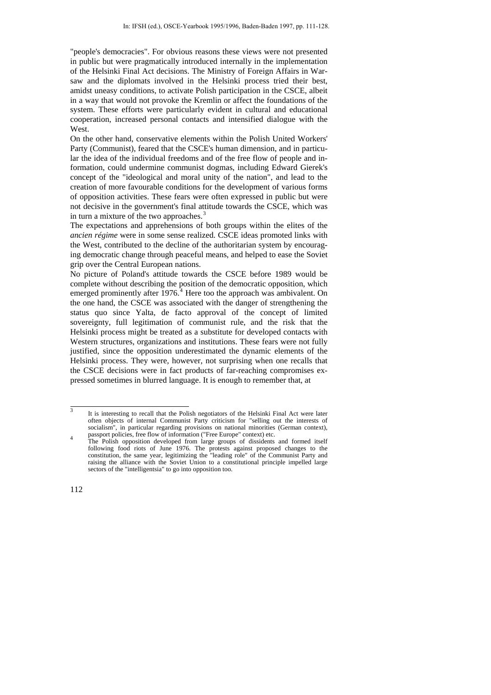"people's democracies". For obvious reasons these views were not presented in public but were pragmatically introduced internally in the implementation of the Helsinki Final Act decisions. The Ministry of Foreign Affairs in Warsaw and the diplomats involved in the Helsinki process tried their best, amidst uneasy conditions, to activate Polish participation in the CSCE, albeit in a way that would not provoke the Kremlin or affect the foundations of the system. These efforts were particularly evident in cultural and educational cooperation, increased personal contacts and intensified dialogue with the **West** 

On the other hand, conservative elements within the Polish United Workers' Party (Communist), feared that the CSCE's human dimension, and in particular the idea of the individual freedoms and of the free flow of people and information, could undermine communist dogmas, including Edward Gierek's concept of the "ideological and moral unity of the nation", and lead to the creation of more favourable conditions for the development of various forms of opposition activities. These fears were often expressed in public but were not decisive in the government's final attitude towards the CSCE, which was in turn a mixture of the two approaches.<sup>[3](#page-1-0)</sup>

The expectations and apprehensions of both groups within the elites of the *ancien régime* were in some sense realized. CSCE ideas promoted links with the West, contributed to the decline of the authoritarian system by encouraging democratic change through peaceful means, and helped to ease the Soviet grip over the Central European nations.

No picture of Poland's attitude towards the CSCE before 1989 would be complete without describing the position of the democratic opposition, which emerged prominently after  $1976<sup>4</sup>$  $1976<sup>4</sup>$  $1976<sup>4</sup>$  Here too the approach was ambivalent. On the one hand, the CSCE was associated with the danger of strengthening the status quo since Yalta, de facto approval of the concept of limited sovereignty, full legitimation of communist rule, and the risk that the Helsinki process might be treated as a substitute for developed contacts with Western structures, organizations and institutions. These fears were not fully justified, since the opposition underestimated the dynamic elements of the Helsinki process. They were, however, not surprising when one recalls that the CSCE decisions were in fact products of far-reaching compromises expressed sometimes in blurred language. It is enough to remember that, at

<span id="page-1-0"></span> <sup>3</sup> It is interesting to recall that the Polish negotiators of the Helsinki Final Act were later often objects of internal Communist Party criticism for "selling out the interests of socialism", in particular regarding provisions on national minorities (German context), passport policies, free flow of information ("Free Europe" context) etc. <sup>4</sup>

<span id="page-1-1"></span>The Polish opposition developed from large groups of dissidents and formed itself following food riots of June 1976. The protests against proposed changes to the constitution, the same year, legitimizing the "leading role" of the Communist Party and raising the alliance with the Soviet Union to a constitutional principle impelled large sectors of the "intelligentsia" to go into opposition too.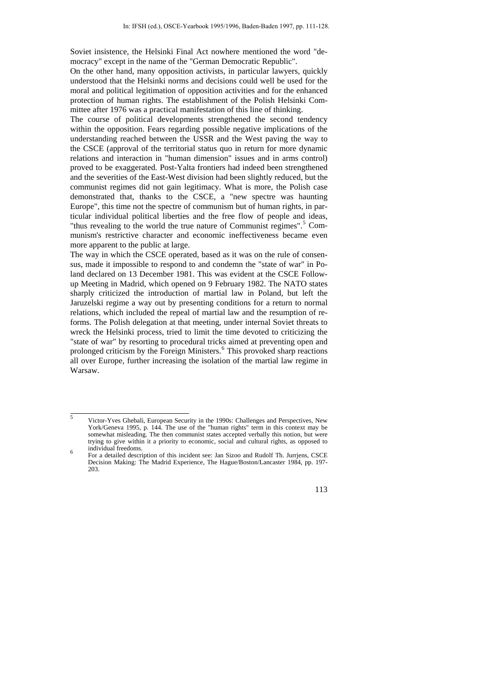Soviet insistence, the Helsinki Final Act nowhere mentioned the word "democracy" except in the name of the "German Democratic Republic".

On the other hand, many opposition activists, in particular lawyers, quickly understood that the Helsinki norms and decisions could well be used for the moral and political legitimation of opposition activities and for the enhanced protection of human rights. The establishment of the Polish Helsinki Committee after 1976 was a practical manifestation of this line of thinking.

The course of political developments strengthened the second tendency within the opposition. Fears regarding possible negative implications of the understanding reached between the USSR and the West paving the way to the CSCE (approval of the territorial status quo in return for more dynamic relations and interaction in "human dimension" issues and in arms control) proved to be exaggerated. Post-Yalta frontiers had indeed been strengthened and the severities of the East-West division had been slightly reduced, but the communist regimes did not gain legitimacy. What is more, the Polish case demonstrated that, thanks to the CSCE, a "new spectre was haunting Europe", this time not the spectre of communism but of human rights, in particular individual political liberties and the free flow of people and ideas, "thus revealing to the world the true nature of Communist regimes".<sup>[5](#page-2-0)</sup> Communism's restrictive character and economic ineffectiveness became even more apparent to the public at large.

The way in which the CSCE operated, based as it was on the rule of consensus, made it impossible to respond to and condemn the "state of war" in Poland declared on 13 December 1981. This was evident at the CSCE Followup Meeting in Madrid, which opened on 9 February 1982. The NATO states sharply criticized the introduction of martial law in Poland, but left the Jaruzelski regime a way out by presenting conditions for a return to normal relations, which included the repeal of martial law and the resumption of reforms. The Polish delegation at that meeting, under internal Soviet threats to wreck the Helsinki process, tried to limit the time devoted to criticizing the "state of war" by resorting to procedural tricks aimed at preventing open and prolonged criticism by the Foreign Ministers.<sup>[6](#page-2-1)</sup> This provoked sharp reactions all over Europe, further increasing the isolation of the martial law regime in Warsaw.

<span id="page-2-0"></span> <sup>5</sup> Victor-Yves Ghebali, European Security in the 1990s: Challenges and Perspectives, New York/Geneva 1995, p. 144. The use of the "human rights" term in this context may be somewhat misleading. The then communist states accepted verbally this notion, but were trying to give within it a priority to economic, social and cultural rights, as opposed to individual freedoms. <sup>6</sup>

<span id="page-2-1"></span>For a detailed description of this incident see: Jan Sizoo and Rudolf Th. Jurrjens, CSCE Decision Making: The Madrid Experience, The Hague/Boston/Lancaster 1984, pp. 197- 203.

<sup>113</sup>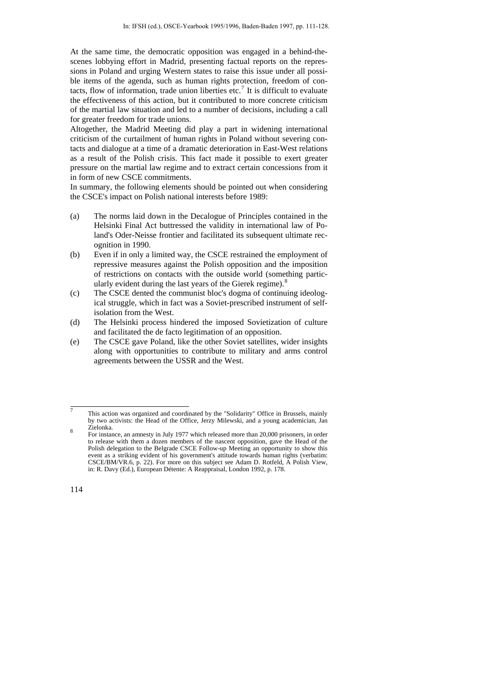At the same time, the democratic opposition was engaged in a behind-thescenes lobbying effort in Madrid, presenting factual reports on the repressions in Poland and urging Western states to raise this issue under all possible items of the agenda, such as human rights protection, freedom of con-tacts, flow of information, trade union liberties etc.<sup>[7](#page-3-0)</sup> It is difficult to evaluate the effectiveness of this action, but it contributed to more concrete criticism of the martial law situation and led to a number of decisions, including a call for greater freedom for trade unions.

Altogether, the Madrid Meeting did play a part in widening international criticism of the curtailment of human rights in Poland without severing contacts and dialogue at a time of a dramatic deterioration in East-West relations as a result of the Polish crisis. This fact made it possible to exert greater pressure on the martial law regime and to extract certain concessions from it in form of new CSCE commitments.

In summary, the following elements should be pointed out when considering the CSCE's impact on Polish national interests before 1989:

- (a) The norms laid down in the Decalogue of Principles contained in the Helsinki Final Act buttressed the validity in international law of Poland's Oder-Neisse frontier and facilitated its subsequent ultimate recognition in 1990.
- (b) Even if in only a limited way, the CSCE restrained the employment of repressive measures against the Polish opposition and the imposition of restrictions on contacts with the outside world (something partic-ularly evident during the last years of the Gierek regime).<sup>[8](#page-3-1)</sup>
- (c) The CSCE dented the communist bloc's dogma of continuing ideological struggle, which in fact was a Soviet-prescribed instrument of selfisolation from the West.
- (d) The Helsinki process hindered the imposed Sovietization of culture and facilitated the de facto legitimation of an opposition.
- (e) The CSCE gave Poland, like the other Soviet satellites, wider insights along with opportunities to contribute to military and arms control agreements between the USSR and the West.

<span id="page-3-0"></span> <sup>7</sup> This action was organized and coordinated by the "Solidarity" Office in Brussels, mainly by two activists: the Head of the Office, Jerzy Milewski, and a young academician, Jan Zielonka. <sup>8</sup>

<span id="page-3-1"></span>For instance, an amnesty in July 1977 which released more than 20,000 prisoners, in order to release with them a dozen members of the nascent opposition, gave the Head of the Polish delegation to the Belgrade CSCE Follow-up Meeting an opportunity to show this event as a striking evident of his government's attitude towards human rights (verbatim: CSCE/BM/VR.6, p. 22). For more on this subject see Adam D. Rotfeld, A Polish View, in: R. Davy (Ed.), European Détente: A Reappraisal, London 1992, p. 178.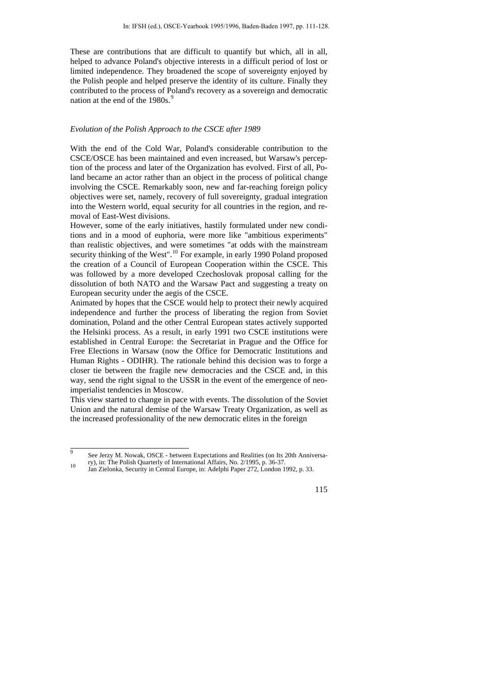These are contributions that are difficult to quantify but which, all in all, helped to advance Poland's objective interests in a difficult period of lost or limited independence. They broadened the scope of sovereignty enjoyed by the Polish people and helped preserve the identity of its culture. Finally they contributed to the process of Poland's recovery as a sovereign and democratic nation at the end of the 1[9](#page-4-0)80s.<sup>9</sup>

#### *Evolution of the Polish Approach to the CSCE after 1989*

With the end of the Cold War, Poland's considerable contribution to the CSCE/OSCE has been maintained and even increased, but Warsaw's perception of the process and later of the Organization has evolved. First of all, Poland became an actor rather than an object in the process of political change involving the CSCE. Remarkably soon, new and far-reaching foreign policy objectives were set, namely, recovery of full sovereignty, gradual integration into the Western world, equal security for all countries in the region, and removal of East-West divisions.

However, some of the early initiatives, hastily formulated under new conditions and in a mood of euphoria, were more like "ambitious experiments" than realistic objectives, and were sometimes "at odds with the mainstream security thinking of the West".<sup>[10](#page-4-1)</sup> For example, in early 1990 Poland proposed the creation of a Council of European Cooperation within the CSCE. This was followed by a more developed Czechoslovak proposal calling for the dissolution of both NATO and the Warsaw Pact and suggesting a treaty on European security under the aegis of the CSCE.

Animated by hopes that the CSCE would help to protect their newly acquired independence and further the process of liberating the region from Soviet domination, Poland and the other Central European states actively supported the Helsinki process. As a result, in early 1991 two CSCE institutions were established in Central Europe: the Secretariat in Prague and the Office for Free Elections in Warsaw (now the Office for Democratic Institutions and Human Rights - ODIHR). The rationale behind this decision was to forge a closer tie between the fragile new democracies and the CSCE and, in this way, send the right signal to the USSR in the event of the emergence of neoimperialist tendencies in Moscow.

This view started to change in pace with events. The dissolution of the Soviet Union and the natural demise of the Warsaw Treaty Organization, as well as the increased professionality of the new democratic elites in the foreign

<span id="page-4-1"></span><span id="page-4-0"></span>ry), in: The Polish Quarterly of International Affairs, No. 2/1995, p. 36-37.<br>Jan Zielonka, Security in Central Europe, in: Adelphi Paper 272, London 1992, p. 33.



 <sup>9</sup> See Jerzy M. Nowak, OSCE - between Expectations and Realities (on Its 20th Anniversa-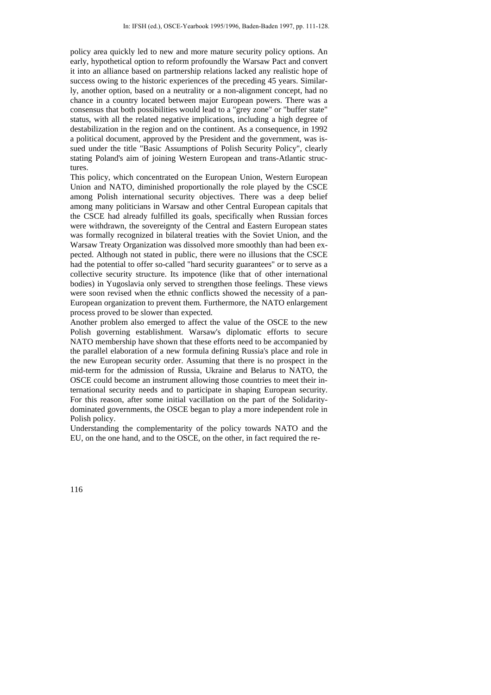policy area quickly led to new and more mature security policy options. An early, hypothetical option to reform profoundly the Warsaw Pact and convert it into an alliance based on partnership relations lacked any realistic hope of success owing to the historic experiences of the preceding 45 years. Similarly, another option, based on a neutrality or a non-alignment concept, had no chance in a country located between major European powers. There was a consensus that both possibilities would lead to a "grey zone" or "buffer state" status, with all the related negative implications, including a high degree of destabilization in the region and on the continent. As a consequence, in 1992 a political document, approved by the President and the government, was issued under the title "Basic Assumptions of Polish Security Policy", clearly stating Poland's aim of joining Western European and trans-Atlantic structures.

This policy, which concentrated on the European Union, Western European Union and NATO, diminished proportionally the role played by the CSCE among Polish international security objectives. There was a deep belief among many politicians in Warsaw and other Central European capitals that the CSCE had already fulfilled its goals, specifically when Russian forces were withdrawn, the sovereignty of the Central and Eastern European states was formally recognized in bilateral treaties with the Soviet Union, and the Warsaw Treaty Organization was dissolved more smoothly than had been expected. Although not stated in public, there were no illusions that the CSCE had the potential to offer so-called "hard security guarantees" or to serve as a collective security structure. Its impotence (like that of other international bodies) in Yugoslavia only served to strengthen those feelings. These views were soon revised when the ethnic conflicts showed the necessity of a pan-European organization to prevent them. Furthermore, the NATO enlargement process proved to be slower than expected.

Another problem also emerged to affect the value of the OSCE to the new Polish governing establishment. Warsaw's diplomatic efforts to secure NATO membership have shown that these efforts need to be accompanied by the parallel elaboration of a new formula defining Russia's place and role in the new European security order. Assuming that there is no prospect in the mid-term for the admission of Russia, Ukraine and Belarus to NATO, the OSCE could become an instrument allowing those countries to meet their international security needs and to participate in shaping European security. For this reason, after some initial vacillation on the part of the Solidaritydominated governments, the OSCE began to play a more independent role in Polish policy.

Understanding the complementarity of the policy towards NATO and the EU, on the one hand, and to the OSCE, on the other, in fact required the re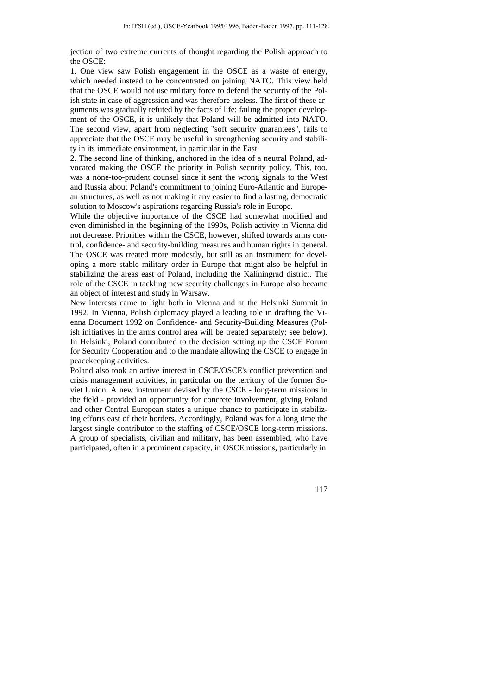jection of two extreme currents of thought regarding the Polish approach to the OSCE:

1. One view saw Polish engagement in the OSCE as a waste of energy, which needed instead to be concentrated on joining NATO. This view held that the OSCE would not use military force to defend the security of the Polish state in case of aggression and was therefore useless. The first of these arguments was gradually refuted by the facts of life: failing the proper development of the OSCE, it is unlikely that Poland will be admitted into NATO. The second view, apart from neglecting "soft security guarantees", fails to appreciate that the OSCE may be useful in strengthening security and stability in its immediate environment, in particular in the East.

2. The second line of thinking, anchored in the idea of a neutral Poland, advocated making the OSCE the priority in Polish security policy. This, too, was a none-too-prudent counsel since it sent the wrong signals to the West and Russia about Poland's commitment to joining Euro-Atlantic and European structures, as well as not making it any easier to find a lasting, democratic solution to Moscow's aspirations regarding Russia's role in Europe.

While the objective importance of the CSCE had somewhat modified and even diminished in the beginning of the 1990s, Polish activity in Vienna did not decrease. Priorities within the CSCE, however, shifted towards arms control, confidence- and security-building measures and human rights in general. The OSCE was treated more modestly, but still as an instrument for developing a more stable military order in Europe that might also be helpful in stabilizing the areas east of Poland, including the Kaliningrad district. The role of the CSCE in tackling new security challenges in Europe also became an object of interest and study in Warsaw.

New interests came to light both in Vienna and at the Helsinki Summit in 1992. In Vienna, Polish diplomacy played a leading role in drafting the Vienna Document 1992 on Confidence- and Security-Building Measures (Polish initiatives in the arms control area will be treated separately; see below). In Helsinki, Poland contributed to the decision setting up the CSCE Forum for Security Cooperation and to the mandate allowing the CSCE to engage in peacekeeping activities.

Poland also took an active interest in CSCE/OSCE's conflict prevention and crisis management activities, in particular on the territory of the former Soviet Union. A new instrument devised by the CSCE - long-term missions in the field - provided an opportunity for concrete involvement, giving Poland and other Central European states a unique chance to participate in stabilizing efforts east of their borders. Accordingly, Poland was for a long time the largest single contributor to the staffing of CSCE/OSCE long-term missions. A group of specialists, civilian and military, has been assembled, who have participated, often in a prominent capacity, in OSCE missions, particularly in

117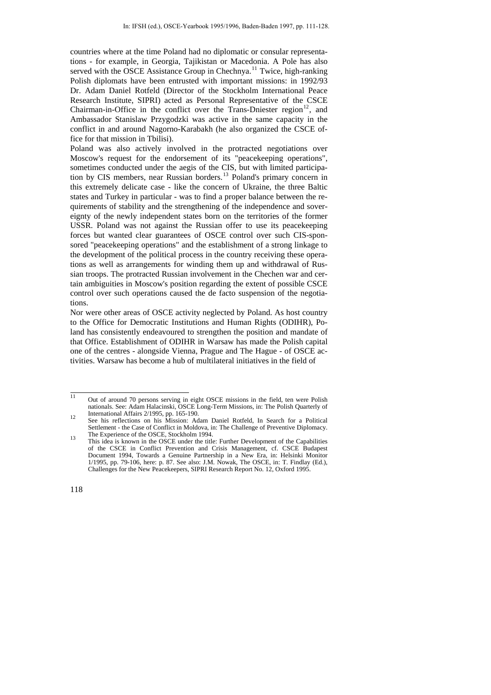countries where at the time Poland had no diplomatic or consular representations - for example, in Georgia, Tajikistan or Macedonia. A Pole has also served with the OSCE Assistance Group in Chechnya.<sup>[11](#page-7-0)</sup> Twice, high-ranking Polish diplomats have been entrusted with important missions: in 1992/93 Dr. Adam Daniel Rotfeld (Director of the Stockholm International Peace Research Institute, SIPRI) acted as Personal Representative of the CSCE Chairman-in-Office in the conflict over the Trans-Dniester region<sup>[12](#page-7-1)</sup>, and Ambassador Stanislaw Przygodzki was active in the same capacity in the conflict in and around Nagorno-Karabakh (he also organized the CSCE office for that mission in Tbilisi).

Poland was also actively involved in the protracted negotiations over Moscow's request for the endorsement of its "peacekeeping operations", sometimes conducted under the aegis of the CIS, but with limited participa-tion by CIS members, near Russian borders.<sup>[13](#page-7-2)</sup> Poland's primary concern in this extremely delicate case - like the concern of Ukraine, the three Baltic states and Turkey in particular - was to find a proper balance between the requirements of stability and the strengthening of the independence and sovereignty of the newly independent states born on the territories of the former USSR. Poland was not against the Russian offer to use its peacekeeping forces but wanted clear guarantees of OSCE control over such CIS-sponsored "peacekeeping operations" and the establishment of a strong linkage to the development of the political process in the country receiving these operations as well as arrangements for winding them up and withdrawal of Russian troops. The protracted Russian involvement in the Chechen war and certain ambiguities in Moscow's position regarding the extent of possible CSCE control over such operations caused the de facto suspension of the negotiations.

Nor were other areas of OSCE activity neglected by Poland. As host country to the Office for Democratic Institutions and Human Rights (ODIHR), Poland has consistently endeavoured to strengthen the position and mandate of that Office. Establishment of ODIHR in Warsaw has made the Polish capital one of the centres - alongside Vienna, Prague and The Hague - of OSCE activities. Warsaw has become a hub of multilateral initiatives in the field of

<span id="page-7-0"></span><sup>&</sup>lt;sup>11</sup> Out of around 70 persons serving in eight OSCE missions in the field, ten were Polish nationals. See: Adam Halacinski, OSCE Long-Term Missions, in: The Polish Quarterly of

<span id="page-7-1"></span><sup>12</sup> International Affairs 2/1995, pp. 165-190.<br>
See his reflections on his Mission: Adam Daniel Rotfeld, In Search for a Political Settlement - the Case of Conflict in Moldova, in: The Challenge of Preventive Diplomacy.<br>The Experience of the OSCE. Stockholm 1994.

<span id="page-7-2"></span>The Experience of the OSCE, Stockholm 1994.<br>
13 This idea is known in the OSCE under the title: Further Development of the Capabilities of the CSCE in Conflict Prevention and Crisis Management, cf. CSCE Budapest Document 1994, Towards a Genuine Partnership in a New Era, in: Helsinki Monitor 1/1995, pp. 79-106, here: p. 87. See also: J.M. Nowak, The OSCE, in: T. Findlay (Ed.), Challenges for the New Peacekeepers, SIPRI Research Report No. 12, Oxford 1995.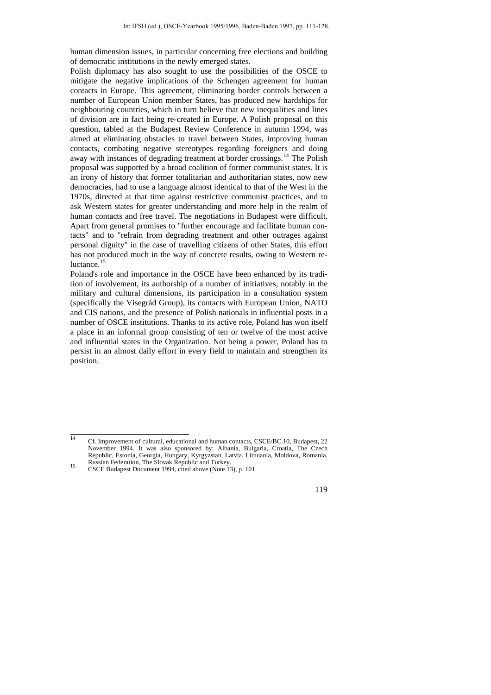human dimension issues, in particular concerning free elections and building of democratic institutions in the newly emerged states.

Polish diplomacy has also sought to use the possibilities of the OSCE to mitigate the negative implications of the Schengen agreement for human contacts in Europe. This agreement, eliminating border controls between a number of European Union member States, has produced new hardships for neighbouring countries, which in turn believe that new inequalities and lines of division are in fact being re-created in Europe. A Polish proposal on this question, tabled at the Budapest Review Conference in autumn 1994, was aimed at eliminating obstacles to travel between States, improving human contacts, combating negative stereotypes regarding foreigners and doing away with instances of degrading treatment at border crossings.[14](#page-8-0) The Polish proposal was supported by a broad coalition of former communist states. It is an irony of history that former totalitarian and authoritarian states, now new democracies, had to use a language almost identical to that of the West in the 1970s, directed at that time against restrictive communist practices, and to ask Western states for greater understanding and more help in the realm of human contacts and free travel. The negotiations in Budapest were difficult. Apart from general promises to "further encourage and facilitate human contacts" and to "refrain from degrading treatment and other outrages against personal dignity" in the case of travelling citizens of other States, this effort has not produced much in the way of concrete results, owing to Western re-luctance.<sup>[15](#page-8-1)</sup>

Poland's role and importance in the OSCE have been enhanced by its tradition of involvement, its authorship of a number of initiatives, notably in the military and cultural dimensions, its participation in a consultation system (specifically the Visegrád Group), its contacts with European Union, NATO and CIS nations, and the presence of Polish nationals in influential posts in a number of OSCE institutions. Thanks to its active role, Poland has won itself a place in an informal group consisting of ten or twelve of the most active and influential states in the Organization. Not being a power, Poland has to persist in an almost daily effort in every field to maintain and strengthen its position.

<span id="page-8-0"></span> <sup>14</sup> Cf. Improvement of cultural, educational and human contacts, CSCE/BC.10, Budapest, 22 November 1994. It was also sponsored by: Albania, Bulgaria, Croatia, The Czech Republic, Estonia, Georgia, Hungary, Kyrgyzstan, Latvia, Lithuania, Moldova, Romania, Russian Federation, The Slovak Republic and Turkey.<br>15 CSCE Budapest Document 1994, cited above (Note 13), p. 101.

<span id="page-8-1"></span>

<sup>119</sup>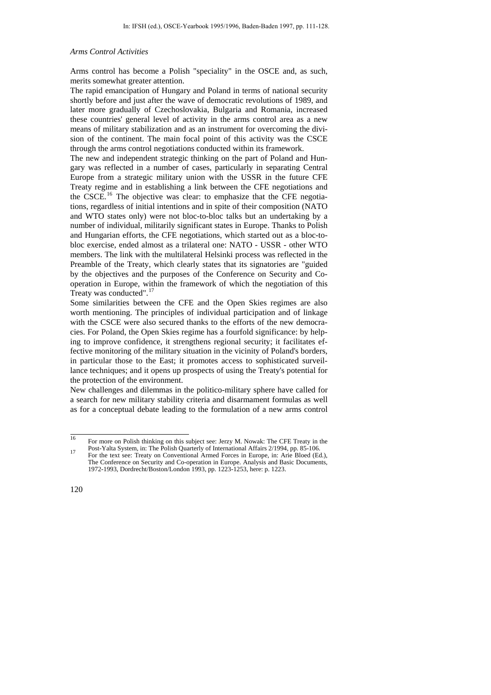### *Arms Control Activities*

Arms control has become a Polish "speciality" in the OSCE and, as such, merits somewhat greater attention.

The rapid emancipation of Hungary and Poland in terms of national security shortly before and just after the wave of democratic revolutions of 1989, and later more gradually of Czechoslovakia, Bulgaria and Romania, increased these countries' general level of activity in the arms control area as a new means of military stabilization and as an instrument for overcoming the division of the continent. The main focal point of this activity was the CSCE through the arms control negotiations conducted within its framework.

The new and independent strategic thinking on the part of Poland and Hungary was reflected in a number of cases, particularly in separating Central Europe from a strategic military union with the USSR in the future CFE Treaty regime and in establishing a link between the CFE negotiations and the CSCE.<sup>[16](#page-9-0)</sup> The objective was clear: to emphasize that the CFE negotiations, regardless of initial intentions and in spite of their composition (NATO and WTO states only) were not bloc-to-bloc talks but an undertaking by a number of individual, militarily significant states in Europe. Thanks to Polish and Hungarian efforts, the CFE negotiations, which started out as a bloc-tobloc exercise, ended almost as a trilateral one: NATO - USSR - other WTO members. The link with the multilateral Helsinki process was reflected in the Preamble of the Treaty, which clearly states that its signatories are "guided by the objectives and the purposes of the Conference on Security and Cooperation in Europe, within the framework of which the negotiation of this Treaty was conducted".[17](#page-9-1)

Some similarities between the CFE and the Open Skies regimes are also worth mentioning. The principles of individual participation and of linkage with the CSCE were also secured thanks to the efforts of the new democracies. For Poland, the Open Skies regime has a fourfold significance: by helping to improve confidence, it strengthens regional security; it facilitates effective monitoring of the military situation in the vicinity of Poland's borders, in particular those to the East; it promotes access to sophisticated surveillance techniques; and it opens up prospects of using the Treaty's potential for the protection of the environment.

New challenges and dilemmas in the politico-military sphere have called for a search for new military stability criteria and disarmament formulas as well as for a conceptual debate leading to the formulation of a new arms control

<span id="page-9-0"></span> <sup>16</sup> For more on Polish thinking on this subject see: Jerzy M. Nowak: The CFE Treaty in the

<span id="page-9-1"></span>Post-Yalta System, in: The Polish Quarterly of International Affairs 2/1994, pp. 85-106.<br>17 For the text see: Treaty on Conventional Armed Forces in Europe, in: Arie Bloed (Ed.), The Conference on Security and Co-operation in Europe. Analysis and Basic Documents, 1972-1993, Dordrecht/Boston/London 1993, pp. 1223-1253, here: p. 1223.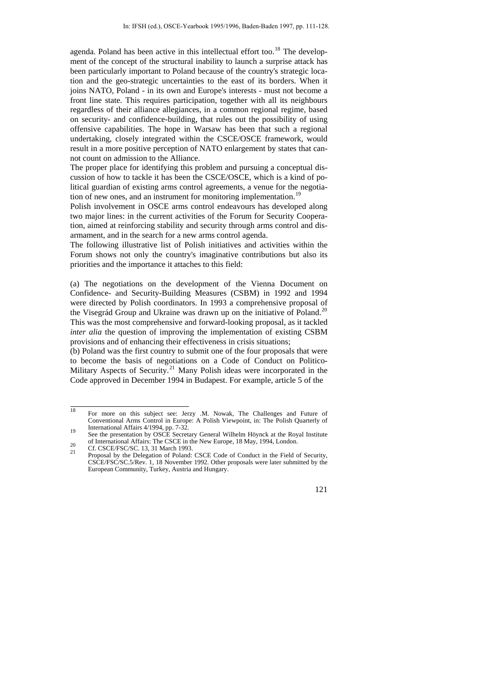agenda. Poland has been active in this intellectual effort too.<sup>[18](#page-10-0)</sup> The development of the concept of the structural inability to launch a surprise attack has been particularly important to Poland because of the country's strategic location and the geo-strategic uncertainties to the east of its borders. When it joins NATO, Poland - in its own and Europe's interests - must not become a front line state. This requires participation, together with all its neighbours regardless of their alliance allegiances, in a common regional regime, based on security- and confidence-building, that rules out the possibility of using offensive capabilities. The hope in Warsaw has been that such a regional undertaking, closely integrated within the CSCE/OSCE framework, would result in a more positive perception of NATO enlargement by states that cannot count on admission to the Alliance.

The proper place for identifying this problem and pursuing a conceptual discussion of how to tackle it has been the CSCE/OSCE, which is a kind of political guardian of existing arms control agreements, a venue for the negotia-tion of new ones, and an instrument for monitoring implementation.<sup>[19](#page-10-1)</sup>

Polish involvement in OSCE arms control endeavours has developed along two major lines: in the current activities of the Forum for Security Cooperation, aimed at reinforcing stability and security through arms control and disarmament, and in the search for a new arms control agenda.

The following illustrative list of Polish initiatives and activities within the Forum shows not only the country's imaginative contributions but also its priorities and the importance it attaches to this field:

(a) The negotiations on the development of the Vienna Document on Confidence- and Security-Building Measures (CSBM) in 1992 and 1994 were directed by Polish coordinators. In 1993 a comprehensive proposal of the Visegrád Group and Ukraine was drawn up on the initiative of Poland.<sup>[20](#page-10-2)</sup> This was the most comprehensive and forward-looking proposal, as it tackled *inter alia* the question of improving the implementation of existing CSBM provisions and of enhancing their effectiveness in crisis situations;

(b) Poland was the first country to submit one of the four proposals that were to become the basis of negotiations on a Code of Conduct on Politico-Military Aspects of Security.<sup>[21](#page-10-3)</sup> Many Polish ideas were incorporated in the Code approved in December 1994 in Budapest. For example, article 5 of the

European Community, Turkey, Austria and Hungary.

<span id="page-10-0"></span> <sup>18</sup> For more on this subject see: Jerzy .M. Nowak, The Challenges and Future of Conventional Arms Control in Europe: A Polish Viewpoint, in: The Polish Quarterly of

<span id="page-10-1"></span>International Affairs 4/1994, pp.  $1-32$ .<br>See the presentation by OSCE Secretary General Wilhelm Höynck at the Royal Institute

<span id="page-10-3"></span><span id="page-10-2"></span>of International Affairs: The CSCE in the New Europe, 18 May, 1994, London.<br>21 Cf. CSCE/FSC/SC. 13, 31 March 1993.<br>21 Proposal by the Delegation of Poland: CSCE Code of Conduct in the Field of Security, CSCE/FSC/SC.5/Rev. 1, 18 November 1992. Other proposals were later submitted by the

<sup>121</sup>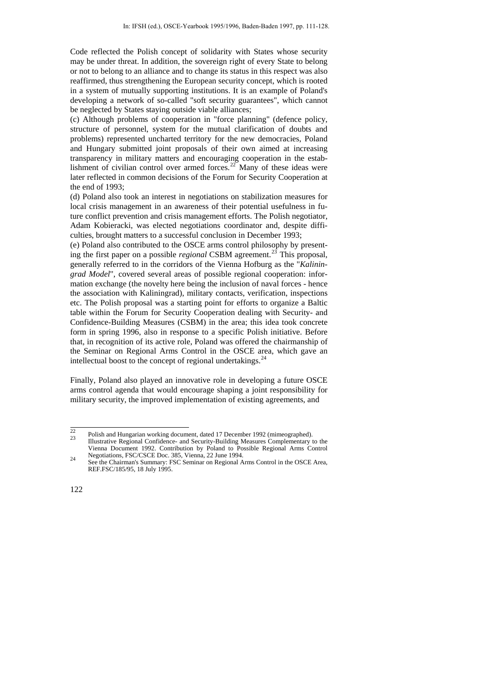Code reflected the Polish concept of solidarity with States whose security may be under threat. In addition, the sovereign right of every State to belong or not to belong to an alliance and to change its status in this respect was also reaffirmed, thus strengthening the European security concept, which is rooted in a system of mutually supporting institutions. It is an example of Poland's developing a network of so-called "soft security guarantees", which cannot be neglected by States staying outside viable alliances;

(c) Although problems of cooperation in "force planning" (defence policy, structure of personnel, system for the mutual clarification of doubts and problems) represented uncharted territory for the new democracies, Poland and Hungary submitted joint proposals of their own aimed at increasing transparency in military matters and encouraging cooperation in the estab-lishment of civilian control over armed forces.<sup>[22](#page-11-0)</sup> Many of these ideas were later reflected in common decisions of the Forum for Security Cooperation at the end of 1993;

(d) Poland also took an interest in negotiations on stabilization measures for local crisis management in an awareness of their potential usefulness in future conflict prevention and crisis management efforts. The Polish negotiator, Adam Kobieracki, was elected negotiations coordinator and, despite difficulties, brought matters to a successful conclusion in December 1993;

(e) Poland also contributed to the OSCE arms control philosophy by presenting the first paper on a possible *regional* CSBM agreement.[23](#page-11-1) This proposal, generally referred to in the corridors of the Vienna Hofburg as the "*Kaliningrad Model*", covered several areas of possible regional cooperation: information exchange (the novelty here being the inclusion of naval forces - hence the association with Kaliningrad), military contacts, verification, inspections etc. The Polish proposal was a starting point for efforts to organize a Baltic table within the Forum for Security Cooperation dealing with Security- and Confidence-Building Measures (CSBM) in the area; this idea took concrete form in spring 1996, also in response to a specific Polish initiative. Before that, in recognition of its active role, Poland was offered the chairmanship of the Seminar on Regional Arms Control in the OSCE area, which gave an intellectual boost to the concept of regional undertakings. $^{24}$  $^{24}$  $^{24}$ 

Finally, Poland also played an innovative role in developing a future OSCE arms control agenda that would encourage shaping a joint responsibility for military security, the improved implementation of existing agreements, and

<span id="page-11-1"></span><span id="page-11-0"></span> $\frac{22}{23}$  Polish and Hungarian working document, dated 17 December 1992 (mimeographed).<br>Illustrative Regional Confidence- and Security-Building Measures Complementary to the Vienna Document 1992. Contribution by Poland to Possible Regional Arms Control

<span id="page-11-2"></span>Negotiations, FSC/CSCE Doc. 385, Vienna, 22 June 1994. 24 See the Chairman's Summary: FSC Seminar on Regional Arms Control in the OSCE Area, REF.FSC/185/95, 18 July 1995.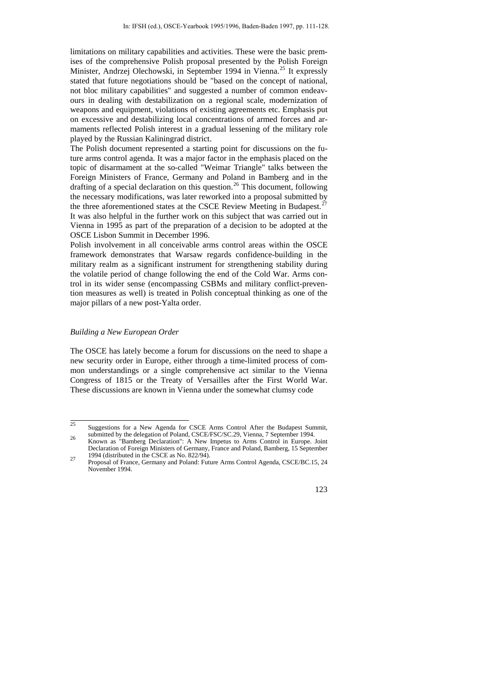limitations on military capabilities and activities. These were the basic premises of the comprehensive Polish proposal presented by the Polish Foreign Minister, Andrzej Olechowski, in September 1994 in Vienna.<sup>[25](#page-12-0)</sup> It expressly stated that future negotiations should be "based on the concept of national, not bloc military capabilities" and suggested a number of common endeavours in dealing with destabilization on a regional scale, modernization of weapons and equipment, violations of existing agreements etc. Emphasis put on excessive and destabilizing local concentrations of armed forces and armaments reflected Polish interest in a gradual lessening of the military role played by the Russian Kaliningrad district.

The Polish document represented a starting point for discussions on the future arms control agenda. It was a major factor in the emphasis placed on the topic of disarmament at the so-called "Weimar Triangle" talks between the Foreign Ministers of France, Germany and Poland in Bamberg and in the drafting of a special declaration on this question.<sup>[26](#page-12-1)</sup> This document, following the necessary modifications, was later reworked into a proposal submitted by the three aforementioned states at the CSCE Review Meeting in Budapest.<sup>[27](#page-12-2)</sup> It was also helpful in the further work on this subject that was carried out in Vienna in 1995 as part of the preparation of a decision to be adopted at the OSCE Lisbon Summit in December 1996.

Polish involvement in all conceivable arms control areas within the OSCE framework demonstrates that Warsaw regards confidence-building in the military realm as a significant instrument for strengthening stability during the volatile period of change following the end of the Cold War. Arms control in its wider sense (encompassing CSBMs and military conflict-prevention measures as well) is treated in Polish conceptual thinking as one of the major pillars of a new post-Yalta order.

## *Building a New European Order*

The OSCE has lately become a forum for discussions on the need to shape a new security order in Europe, either through a time-limited process of common understandings or a single comprehensive act similar to the Vienna Congress of 1815 or the Treaty of Versailles after the First World War. These discussions are known in Vienna under the somewhat clumsy code

<span id="page-12-2"></span>November 1994.



<span id="page-12-0"></span><sup>&</sup>lt;sup>25</sup><br>Suggestions for a New Agenda for CSCE Arms Control After the Budapest Summit,<br>submitted by the delegation of Poland, CSCE/FSC/SC.29, Vienna, 7 September 1994.

<span id="page-12-1"></span>submitted by the delegation of Poland, CSCE/FSC/SC.29, Vienna, 7 September 1994. 26 Known as "Bamberg Declaration": A New Impetus to Arms Control in Europe. Joint Declaration of Foreign Ministers of Germany, France and Poland, Bamberg, 15 September 1994 (distributed in the CSCE as No. 822/94). 27 Proposal of France, Germany and Poland: Future Arms Control Agenda, CSCE/BC.15, 24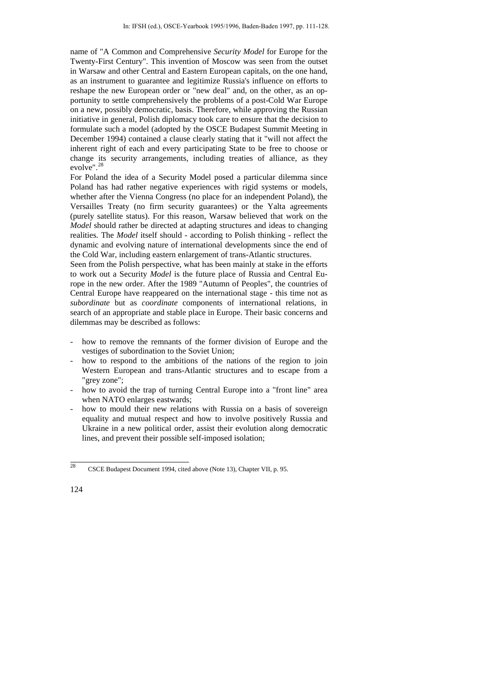name of "A Common and Comprehensive *Security Model* for Europe for the Twenty-First Century". This invention of Moscow was seen from the outset in Warsaw and other Central and Eastern European capitals, on the one hand, as an instrument to guarantee and legitimize Russia's influence on efforts to reshape the new European order or "new deal" and, on the other, as an opportunity to settle comprehensively the problems of a post-Cold War Europe on a new, possibly democratic, basis. Therefore, while approving the Russian initiative in general, Polish diplomacy took care to ensure that the decision to formulate such a model (adopted by the OSCE Budapest Summit Meeting in December 1994) contained a clause clearly stating that it "will not affect the inherent right of each and every participating State to be free to choose or change its security arrangements, including treaties of alliance, as they evolve".[28](#page-13-0)

For Poland the idea of a Security Model posed a particular dilemma since Poland has had rather negative experiences with rigid systems or models, whether after the Vienna Congress (no place for an independent Poland), the Versailles Treaty (no firm security guarantees) or the Yalta agreements (purely satellite status). For this reason, Warsaw believed that work on the *Model* should rather be directed at adapting structures and ideas to changing realities. The *Model* itself should - according to Polish thinking - reflect the dynamic and evolving nature of international developments since the end of the Cold War, including eastern enlargement of trans-Atlantic structures.

Seen from the Polish perspective, what has been mainly at stake in the efforts to work out a Security *Model* is the future place of Russia and Central Europe in the new order. After the 1989 "Autumn of Peoples", the countries of Central Europe have reappeared on the international stage - this time not as *subordinate* but as *coordinate* components of international relations, in search of an appropriate and stable place in Europe. Their basic concerns and dilemmas may be described as follows:

- how to remove the remnants of the former division of Europe and the vestiges of subordination to the Soviet Union;
- how to respond to the ambitions of the nations of the region to join Western European and trans-Atlantic structures and to escape from a "grey zone";
- how to avoid the trap of turning Central Europe into a "front line" area when NATO enlarges eastwards;
- how to mould their new relations with Russia on a basis of sovereign equality and mutual respect and how to involve positively Russia and Ukraine in a new political order, assist their evolution along democratic lines, and prevent their possible self-imposed isolation;

<span id="page-13-0"></span> <sup>28</sup> CSCE Budapest Document 1994, cited above (Note 13), Chapter VII, p. 95.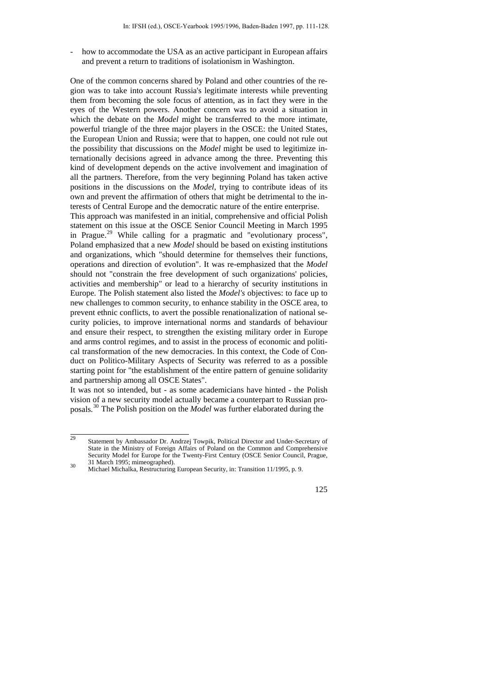how to accommodate the USA as an active participant in European affairs and prevent a return to traditions of isolationism in Washington.

One of the common concerns shared by Poland and other countries of the region was to take into account Russia's legitimate interests while preventing them from becoming the sole focus of attention, as in fact they were in the eyes of the Western powers. Another concern was to avoid a situation in which the debate on the *Model* might be transferred to the more intimate, powerful triangle of the three major players in the OSCE: the United States, the European Union and Russia; were that to happen, one could not rule out the possibility that discussions on the *Model* might be used to legitimize internationally decisions agreed in advance among the three. Preventing this kind of development depends on the active involvement and imagination of all the partners. Therefore, from the very beginning Poland has taken active positions in the discussions on the *Model*, trying to contribute ideas of its own and prevent the affirmation of others that might be detrimental to the interests of Central Europe and the democratic nature of the entire enterprise. This approach was manifested in an initial, comprehensive and official Polish statement on this issue at the OSCE Senior Council Meeting in March 1995 in Prague.<sup>[29](#page-14-0)</sup> While calling for a pragmatic and "evolutionary process", Poland emphasized that a new *Model* should be based on existing institutions and organizations, which "should determine for themselves their functions, operations and direction of evolution". It was re-emphasized that the *Model* should not "constrain the free development of such organizations' policies, activities and membership" or lead to a hierarchy of security institutions in Europe. The Polish statement also listed the *Model's* objectives: to face up to new challenges to common security, to enhance stability in the OSCE area, to prevent ethnic conflicts, to avert the possible renationalization of national security policies, to improve international norms and standards of behaviour and ensure their respect, to strengthen the existing military order in Europe and arms control regimes, and to assist in the process of economic and political transformation of the new democracies. In this context, the Code of Conduct on Politico-Military Aspects of Security was referred to as a possible starting point for "the establishment of the entire pattern of genuine solidarity and partnership among all OSCE States".

It was not so intended, but - as some academicians have hinted - the Polish vision of a new security model actually became a counterpart to Russian proposals.[30](#page-14-1) The Polish position on the *Model* was further elaborated during the

125

<span id="page-14-0"></span><sup>&</sup>lt;sup>29</sup> Statement by Ambassador Dr. Andrzej Towpik, Political Director and Under-Secretary of State in the Ministry of Foreign Affairs of Poland on the Common and Comprehensive Security Model for Europe for the Twenty-First Century (OSCE Senior Council, Prague, 31 March 1995; mimeographed). 30 Michael Michalka, Restructuring European Security, in: Transition 11/1995, p. 9.

<span id="page-14-1"></span>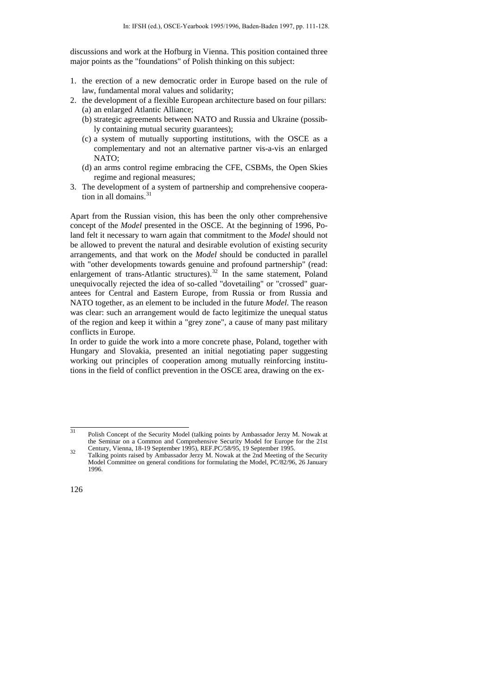discussions and work at the Hofburg in Vienna. This position contained three major points as the "foundations" of Polish thinking on this subject:

- 1. the erection of a new democratic order in Europe based on the rule of law, fundamental moral values and solidarity;
- 2. the development of a flexible European architecture based on four pillars: (a) an enlarged Atlantic Alliance;
	- (b) strategic agreements between NATO and Russia and Ukraine (possibly containing mutual security guarantees);
	- (c) a system of mutually supporting institutions, with the OSCE as a complementary and not an alternative partner vis-a-vis an enlarged NATO;
	- (d) an arms control regime embracing the CFE, CSBMs, the Open Skies regime and regional measures;
- 3. The development of a system of partnership and comprehensive coopera-tion in all domains.<sup>[31](#page-15-0)</sup>

Apart from the Russian vision, this has been the only other comprehensive concept of the *Model* presented in the OSCE. At the beginning of 1996, Poland felt it necessary to warn again that commitment to the *Model* should not be allowed to prevent the natural and desirable evolution of existing security arrangements, and that work on the *Model* should be conducted in parallel with "other developments towards genuine and profound partnership" (read: enlargement of trans-Atlantic structures).<sup>[32](#page-15-1)</sup> In the same statement, Poland unequivocally rejected the idea of so-called "dovetailing" or "crossed" guarantees for Central and Eastern Europe, from Russia or from Russia and NATO together, as an element to be included in the future *Model*. The reason was clear: such an arrangement would de facto legitimize the unequal status of the region and keep it within a "grey zone", a cause of many past military conflicts in Europe.

In order to guide the work into a more concrete phase, Poland, together with Hungary and Slovakia, presented an initial negotiating paper suggesting working out principles of cooperation among mutually reinforcing institutions in the field of conflict prevention in the OSCE area, drawing on the ex-

<span id="page-15-0"></span><sup>&</sup>lt;sup>31</sup> Polish Concept of the Security Model (talking points by Ambassador Jerzy M. Nowak at the Seminar on a Common and Comprehensive Security Model for Europe for the 21st

<span id="page-15-1"></span>Century, Vienna, 18-19 September 1995), REF.PC/58/95, 19 September 1995. 32 Talking points raised by Ambassador Jerzy M. Nowak at the 2nd Meeting of the Security Model Committee on general conditions for formulating the Model, PC/82/96, 26 January 1996.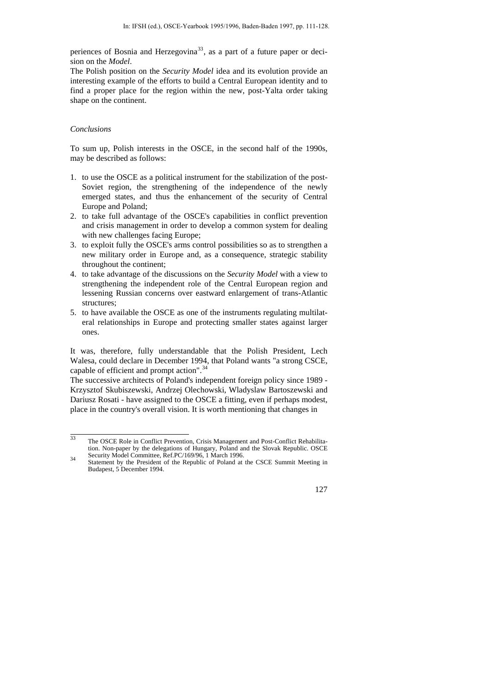periences of Bosnia and Herzegovina<sup>[33](#page-16-0)</sup>, as a part of a future paper or decision on the *Model*.

The Polish position on the *Security Model* idea and its evolution provide an interesting example of the efforts to build a Central European identity and to find a proper place for the region within the new, post-Yalta order taking shape on the continent.

#### *Conclusions*

To sum up, Polish interests in the OSCE, in the second half of the 1990s, may be described as follows:

- 1. to use the OSCE as a political instrument for the stabilization of the post-Soviet region, the strengthening of the independence of the newly emerged states, and thus the enhancement of the security of Central Europe and Poland;
- 2. to take full advantage of the OSCE's capabilities in conflict prevention and crisis management in order to develop a common system for dealing with new challenges facing Europe;
- 3. to exploit fully the OSCE's arms control possibilities so as to strengthen a new military order in Europe and, as a consequence, strategic stability throughout the continent;
- 4. to take advantage of the discussions on the *Security Model* with a view to strengthening the independent role of the Central European region and lessening Russian concerns over eastward enlargement of trans-Atlantic structures;
- 5. to have available the OSCE as one of the instruments regulating multilateral relationships in Europe and protecting smaller states against larger ones.

It was, therefore, fully understandable that the Polish President, Lech Walesa, could declare in December 1994, that Poland wants "a strong CSCE, capable of efficient and prompt action".<sup>[34](#page-16-1)</sup>

The successive architects of Poland's independent foreign policy since 1989 - Krzysztof Skubiszewski, Andrzej Olechowski, Wladyslaw Bartoszewski and Dariusz Rosati - have assigned to the OSCE a fitting, even if perhaps modest, place in the country's overall vision. It is worth mentioning that changes in

<span id="page-16-1"></span>Security Model Committee, Ref.PC/169/96, 1 March 1996. 34 Statement by the President of the Republic of Poland at the CSCE Summit Meeting in Budapest, 5 December 1994.



<span id="page-16-0"></span><sup>&</sup>lt;sup>33</sup> The OSCE Role in Conflict Prevention, Crisis Management and Post-Conflict Rehabilitation. Non-paper by the delegations of Hungary, Poland and the Slovak Republic. OSCE